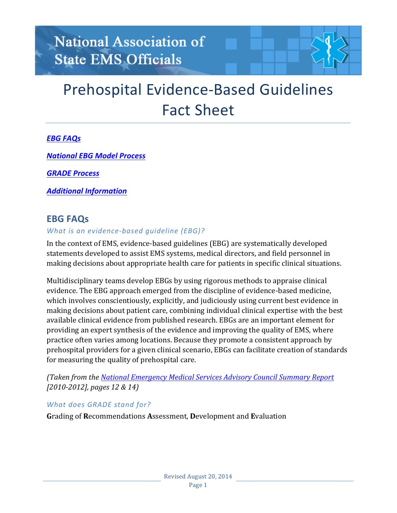

### *EBG FAQs*

*[National EBG Model Process](#page-2-0)*

*[GRADE Process](#page-3-0)*

*[Additional Information](#page-4-0)*

### **EBG FAQs**

#### *What is an evidence-based quideline (EBG)?*

In the context of EMS, evidence-based guidelines (EBG) are systematically developed statements developed to assist EMS systems, medical directors, and field personnel in making decisions about appropriate health care for patients in specific clinical situations.

Multidisciplinary teams develop EBGs by using rigorous methods to appraise clinical evidence. The EBG approach emerged from the discipline of evidence-based medicine, which involves conscientiously, explicitly, and judiciously using current best evidence in making decisions about patient care, combining individual clinical expertise with the best available clinical evidence from published research. EBGs are an important element for providing an expert synthesis of the evidence and improving the quality of EMS, where practice often varies among locations. Because they promote a consistent approach by prehospital providers for a given clinical scenario, EBGs can facilitate creation of standards for measuring the quality of prehospital care.

*(Taken from the [National Emergency Medical Services Advisory Council Summary Report](http://www.nhtsa.gov/staticfiles/nti/pdf/811705.pdf) [2010-2012], pages 12 & 14]* 

### What does GRADE stand for?

Grading of Recommendations Assessment, Development and Evaluation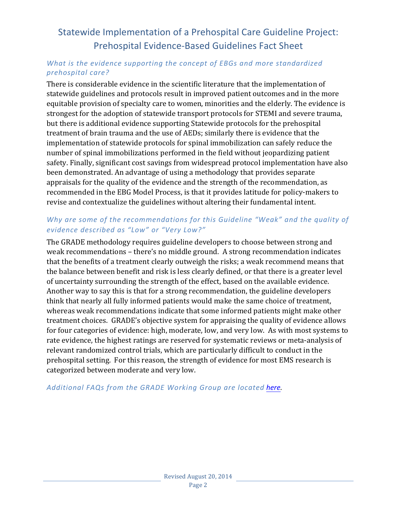### *What is the evidence supporting the concept of EBGs and more standardized prehospital care?*

There is considerable evidence in the scientific literature that the implementation of statewide guidelines and protocols result in improved patient outcomes and in the more equitable provision of specialty care to women, minorities and the elderly. The evidence is strongest for the adoption of statewide transport protocols for STEMI and severe trauma, but there is additional evidence supporting Statewide protocols for the prehospital treatment of brain trauma and the use of AEDs; similarly there is evidence that the implementation of statewide protocols for spinal immobilization can safely reduce the number of spinal immobilizations performed in the field without jeopardizing patient safety. Finally, significant cost savings from widespread protocol implementation have also been demonstrated. An advantage of using a methodology that provides separate appraisals for the quality of the evidence and the strength of the recommendation, as recommended in the EBG Model Process, is that it provides latitude for policy-makers to revise and contextualize the guidelines without altering their fundamental intent.

### Why are some of the recommendations for this Guideline "Weak" and the quality of *evidence described as "Low" or "Very Low?"*

The GRADE methodology requires guideline developers to choose between strong and weak recommendations - there's no middle ground. A strong recommendation indicates that the benefits of a treatment clearly outweigh the risks; a weak recommend means that the balance between benefit and risk is less clearly defined, or that there is a greater level of uncertainty surrounding the strength of the effect, based on the available evidence. Another way to say this is that for a strong recommendation, the guideline developers think that nearly all fully informed patients would make the same choice of treatment, whereas weak recommendations indicate that some informed patients might make other treatment choices. GRADE's objective system for appraising the quality of evidence allows for four categories of evidence: high, moderate, low, and very low. As with most systems to rate evidence, the highest ratings are reserved for systematic reviews or meta-analysis of relevant randomized control trials, which are particularly difficult to conduct in the prehospital setting. For this reason, the strength of evidence for most EMS research is categorized between moderate and very low.

### Additional FAQs from the GRADE Working Group are located [here.](http://www.gradeworkinggroup.org/FAQ/index.htm)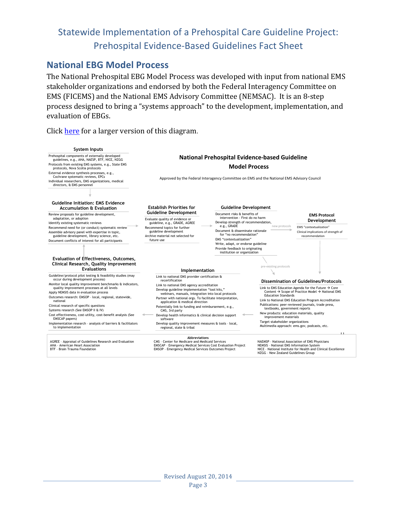### <span id="page-2-0"></span>**National EBG Model Process**

The National Prehospital EBG Model Process was developed with input from national EMS stakeholder organizations and endorsed by both the Federal Interagency Committee on EMS (FICEMS) and the National EMS Advisory Committee (NEMSAC). It is an 8-step process designed to bring a "systems approach" to the development, implementation, and evaluation of EBGs.

Click here for a larger version of this diagram.

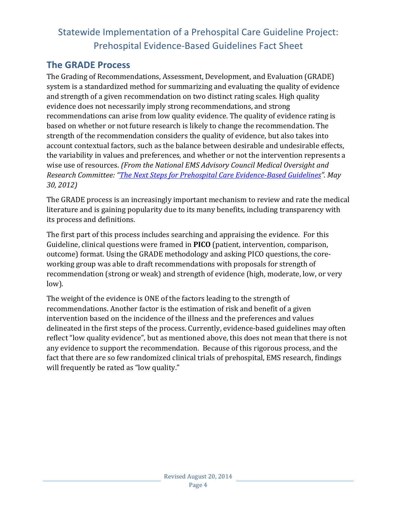### <span id="page-3-0"></span>**The GRADE Process**

The Grading of Recommendations, Assessment, Development, and Evaluation (GRADE) system is a standardized method for summarizing and evaluating the quality of evidence and strength of a given recommendation on two distinct rating scales. High quality evidence does not necessarily imply strong recommendations, and strong recommendations can arise from low quality evidence. The quality of evidence rating is based on whether or not future research is likely to change the recommendation. The strength of the recommendation considers the quality of evidence, but also takes into account contextual factors, such as the balance between desirable and undesirable effects, the variability in values and preferences, and whether or not the intervention represents a wise use of resources. (From the National EMS Advisory Council Medical Oversight and *Research Committee: ["The Next Steps for Prehospital Care Evidence-Based Guidelines"](http://www.ems.gov/nemsac/MedicalOversightResearchCommittee Advisory-NextStepsPrehospitalGuidelines.pdf). May 30, 2012)*

The GRADE process is an increasingly important mechanism to review and rate the medical literature and is gaining popularity due to its many benefits, including transparency with its process and definitions.

The first part of this process includes searching and appraising the evidence. For this Guideline, clinical questions were framed in **PICO** (patient, intervention, comparison, outcome) format. Using the GRADE methodology and asking PICO questions, the coreworking group was able to draft recommendations with proposals for strength of recommendation (strong or weak) and strength of evidence (high, moderate, low, or very low). 

The weight of the evidence is ONE of the factors leading to the strength of recommendations. Another factor is the estimation of risk and benefit of a given intervention based on the incidence of the illness and the preferences and values delineated in the first steps of the process. Currently, evidence-based guidelines may often reflect "low quality evidence", but as mentioned above, this does not mean that there is not any evidence to support the recommendation. Because of this rigorous process, and the fact that there are so few randomized clinical trials of prehospital, EMS research, findings will frequently be rated as "low quality."